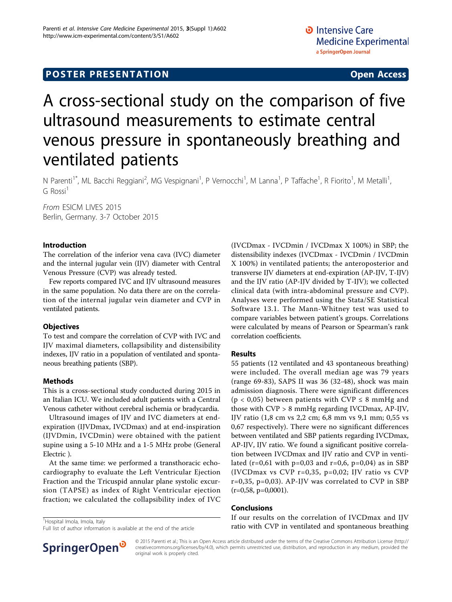## **POSTER PRESENTATION CONSUMING ACCESS**

# A cross-sectional study on the comparison of five ultrasound measurements to estimate central venous pressure in spontaneously breathing and ventilated patients

N Parenti<sup>1\*</sup>, ML Bacchi Reggiani<sup>2</sup>, MG Vespignani<sup>1</sup>, P Vernocchi<sup>1</sup>, M Lanna<sup>1</sup>, P Taffache<sup>1</sup>, R Fiorito<sup>1</sup>, M Metalli<sup>1</sup> ,  $G$  Rossi<sup>1</sup>

From ESICM LIVES 2015 Berlin, Germany. 3-7 October 2015

#### Introduction

The correlation of the inferior vena cava (IVC) diameter and the internal jugular vein (IJV) diameter with Central Venous Pressure (CVP) was already tested.

Few reports compared IVC and IJV ultrasound measures in the same population. No data there are on the correlation of the internal jugular vein diameter and CVP in ventilated patients.

#### **Objectives**

To test and compare the correlation of CVP with IVC and IJV maximal diameters, collapsibility and distensibility indexes, IJV ratio in a population of ventilated and spontaneous breathing patients (SBP).

#### Methods

This is a cross-sectional study conducted during 2015 in an Italian ICU. We included adult patients with a Central Venous catheter without cerebral ischemia or bradycardia.

Ultrasound images of IJV and IVC diameters at endexpiration (IJVDmax, IVCDmax) and at end-inspiration (IJVDmin, IVCDmin) were obtained with the patient supine using a 5-10 MHz and a 1-5 MHz probe (General Electric ).

At the same time: we performed a transthoracic echocardiography to evaluate the Left Ventricular Ejection Fraction and the Tricuspid annular plane systolic excursion (TAPSE) as index of Right Ventricular ejection fraction; we calculated the collapsibility index of IVC (IVCDmax - IVCDmin / IVCDmax X 100%) in SBP; the distensibility indexes (IVCDmax - IVCDmin / IVCDmin X 100%) in ventilated patients; the anteroposterior and transverse IJV diameters at end-expiration (AP-IJV, T-IJV) and the IJV ratio (AP-IJV divided by T-IJV); we collected clinical data (with intra-abdominal pressure and CVP). Analyses were performed using the Stata/SE Statistical Software 13.1. The Mann-Whitney test was used to compare variables between patient's groups. Correlations were calculated by means of Pearson or Spearman's rank correlation coefficients.

#### Results

55 patients (12 ventilated and 43 spontaneous breathing) were included. The overall median age was 79 years (range 69-83), SAPS II was 36 (32-48), shock was main admission diagnosis. There were significant differences ( $p < 0.05$ ) between patients with CVP  $\leq 8$  mmHg and those with CVP > 8 mmHg regarding IVCDmax, AP-IJV, IJV ratio (1,8 cm vs 2,2 cm; 6,8 mm vs 9,1 mm; 0,55 vs 0,67 respectively). There were no significant differences between ventilated and SBP patients regarding IVCDmax, AP-IJV, IJV ratio. We found a significant positive correlation between IVCDmax and IJV ratio and CVP in ventilated (r=0,61 with p=0,03 and r=0,6, p=0,04) as in SBP (IVCDmax vs CVP r=0,35, p=0,02; IJV ratio vs CVP r=0,35, p=0,03). AP-IJV was correlated to CVP in SBP  $(r=0.58, p=0.0001)$ .

#### Conclusions

If our results on the correlation of IVCDmax and IJV ratio with CVP in ventilated and spontaneous breathing

<sup>1</sup>Hospital Imola, Imola, Italy

Full list of author information is available at the end of the article



© 2015 Parenti et al.; This is an Open Access article distributed under the terms of the Creative Commons Attribution License [\(http://](http://creativecommons.org/licenses/by/4.0) [creativecommons.org/licenses/by/4.0](http://creativecommons.org/licenses/by/4.0)), which permits unrestricted use, distribution, and reproduction in any medium, provided the original work is properly cited.